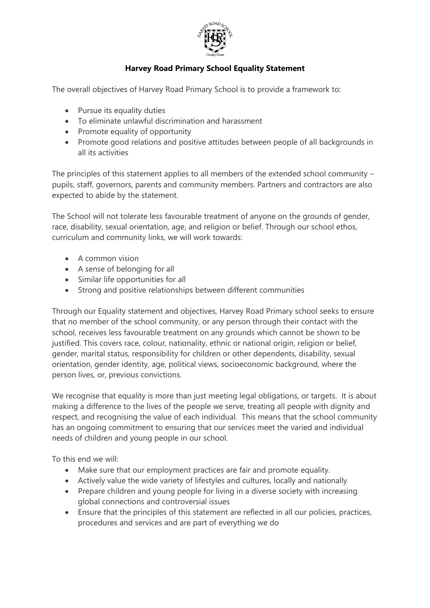

## **Harvey Road Primary School Equality Statement**

The overall objectives of Harvey Road Primary School is to provide a framework to:

- Pursue its equality duties
- To eliminate unlawful discrimination and harassment
- Promote equality of opportunity
- Promote good relations and positive attitudes between people of all backgrounds in all its activities

The principles of this statement applies to all members of the extended school community – pupils, staff, governors, parents and community members. Partners and contractors are also expected to abide by the statement.

The School will not tolerate less favourable treatment of anyone on the grounds of gender, race, disability, sexual orientation, age, and religion or belief. Through our school ethos, curriculum and community links, we will work towards:

- $\bullet$  A common vision
- A sense of belonging for all
- Similar life opportunities for all
- Strong and positive relationships between different communities

Through our Equality statement and objectives, Harvey Road Primary school seeks to ensure that no member of the school community, or any person through their contact with the school, receives less favourable treatment on any grounds which cannot be shown to be justified. This covers race, colour, nationality, ethnic or national origin, religion or belief, gender, marital status, responsibility for children or other dependents, disability, sexual orientation, gender identity, age, political views, socioeconomic background, where the person lives, or, previous convictions.

We recognise that equality is more than just meeting legal obligations, or targets. It is about making a difference to the lives of the people we serve, treating all people with dignity and respect, and recognising the value of each individual. This means that the school community has an ongoing commitment to ensuring that our services meet the varied and individual needs of children and young people in our school.

To this end we will:

- Make sure that our employment practices are fair and promote equality.
- Actively value the wide variety of lifestyles and cultures, locally and nationally
- Prepare children and young people for living in a diverse society with increasing global connections and controversial issues
- Ensure that the principles of this statement are reflected in all our policies, practices, procedures and services and are part of everything we do